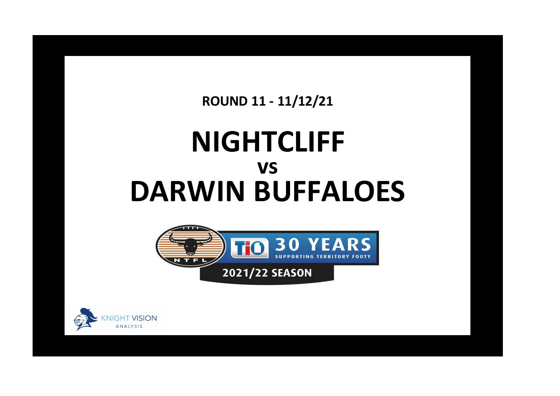**ROUND 11 - 11/12/21**

## **NIGHTCLIFF DARWIN BUFFALOES vs**



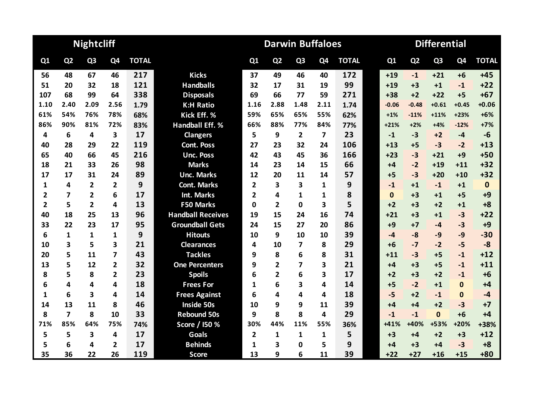|                |                | <b>Nightcliff</b> |                |              |                          |                | <b>Darwin Buffaloes</b> |                |                         |              | <b>Differential</b> |                |                |                |              |  |  |
|----------------|----------------|-------------------|----------------|--------------|--------------------------|----------------|-------------------------|----------------|-------------------------|--------------|---------------------|----------------|----------------|----------------|--------------|--|--|
| Q1             | Q <sub>2</sub> | Q <sub>3</sub>    | Q4             | <b>TOTAL</b> |                          | Q1             | Q <sub>2</sub>          | Q <sub>3</sub> | Q <sub>4</sub>          | <b>TOTAL</b> | Q1                  | Q <sub>2</sub> | Q <sub>3</sub> | Q <sub>4</sub> | <b>TOTAL</b> |  |  |
| 56             | 48             | 67                | 46             | 217          | <b>Kicks</b>             | 37             | 49                      | 46             | 40                      | 172          | $+19$               | $-1$           | $+21$          | $+6$           | $+45$        |  |  |
| 51             | 20             | 32                | 18             | 121          | <b>Handballs</b>         | 32             | 17                      | 31             | 19                      | 99           | $+19$               | $+3$           | $+1$           | $-1$           | $+22$        |  |  |
| 107            | 68             | 99                | 64             | 338          | <b>Disposals</b>         | 69             | 66                      | 77             | 59                      | 271          | $+38$               | $+2$           | $+22$          | $+5$           | $+67$        |  |  |
| 1.10           | 2.40           | 2.09              | 2.56           | 1.79         | <b>K:H Ratio</b>         | 1.16           | 2.88                    | 1.48           | 2.11                    | 1.74         | $-0.06$             | $-0.48$        | $+0.61$        | $+0.45$        | $+0.06$      |  |  |
| 61%            | 54%            | 76%               | 78%            | 68%          | Kick Eff. %              | 59%            | 65%                     | 65%            | 55%                     | 62%          | $+1%$               | $-11%$         | $+11%$         | $+23%$         | $+6%$        |  |  |
| 86%            | 90%            | 81%               | 72%            | 83%          | <b>Handball Eff. %</b>   | 66%            | 88%                     | 77%            | 84%                     | 77%          | $+21%$              | $+2%$          | $+4%$          | $-12%$         | $+7%$        |  |  |
| 4              | 6              | 4                 | 3              | 17           | <b>Clangers</b>          | 5              | 9                       | $\overline{2}$ | $\overline{\mathbf{z}}$ | 23           | $-1$                | $-3$           | $+2$           | $-4$           | $-6$         |  |  |
| 40             | 28             | 29                | 22             | 119          | <b>Cont. Poss</b>        | 27             | 23                      | 32             | 24                      | 106          | $+13$               | $+5$           | $-3$           | $-2$           | $+13$        |  |  |
| 65             | 40             | 66                | 45             | 216          | <b>Unc. Poss</b>         | 42             | 43                      | 45             | 36                      | 166          | $+23$               | $-3$           | $+21$          | $+9$           | $+50$        |  |  |
| 18             | 21             | 33                | 26             | 98           | <b>Marks</b>             | 14             | 23                      | 14             | 15                      | 66           | $+4$                | $-2$           | $+19$          | $+11$          | $+32$        |  |  |
| 17             | 17             | 31                | 24             | 89           | <b>Unc. Marks</b>        | 12             | 20                      | 11             | 14                      | 57           | $+5$                | $-3$           | $+20$          | $+10$          | $+32$        |  |  |
| 1              | 4              | $\overline{2}$    | $\mathbf{2}$   | 9            | <b>Cont. Marks</b>       | $\overline{2}$ | 3                       | 3              | 1                       | 9            | $-1$                | $+1$           | $-1$           | $+1$           | $\mathbf 0$  |  |  |
| 2              | 7              | $\overline{2}$    | 6              | 17           | <b>Int. Marks</b>        | $\overline{2}$ | 4                       | 1              | 1                       | 8            | $\mathbf{0}$        | $+3$           | $+1$           | $+5$           | $+9$         |  |  |
| $\overline{2}$ | 5              | $\overline{2}$    | 4              | 13           | <b>F50 Marks</b>         | $\Omega$       | $\overline{2}$          | 0              | 3                       | 5            | $+2$                | $+3$           | $+2$           | $+1$           | $+8$         |  |  |
| 40             | 18             | 25                | 13             | 96           | <b>Handball Receives</b> | 19             | 15                      | 24             | 16                      | 74           | $+21$               | $+3$           | $+1$           | $-3$           | $+22$        |  |  |
| 33             | 22             | 23                | 17             | 95           | <b>Groundball Gets</b>   | 24             | 15                      | 27             | 20                      | 86           | $+9$                | $+7$           | $-4$           | $-3$           | $+9$         |  |  |
| 6              | $\mathbf{1}$   | $\mathbf{1}$      | $\mathbf{1}$   | 9            | <b>Hitouts</b>           | 10             | 9                       | 10             | 10                      | 39           | $-4$                | $-8$           | $-9$           | $-9$           | $-30$        |  |  |
| 10             | 3              | 5                 | 3              | 21           | <b>Clearances</b>        | 4              | 10                      | 7              | 8                       | 29           | $+6$                | $-7$           | $-2$           | $-5$           | $-8$         |  |  |
| 20             | 5              | 11                | 7              | 43           | <b>Tackles</b>           | 9              | 8                       | 6              | 8                       | 31           | $+11$               | $-3$           | $+5$           | $-1$           | $+12$        |  |  |
| 13             | 5              | 12                | $\overline{2}$ | 32           | <b>One Percenters</b>    | 9              | $\overline{2}$          | 7              | 3                       | 21           | $+4$                | $+3$           | $+5$           | $-1$           | $+11$        |  |  |
| 8              | 5              | 8                 | $\overline{2}$ | 23           | <b>Spoils</b>            | 6              | $\overline{2}$          | 6              | 3                       | 17           | $+2$                | $+3$           | $+2$           | $-1$           | $+6$         |  |  |
| 6              | 4              | 4                 | 4              | 18           | <b>Frees For</b>         | 1              | 6                       | 3              | 4                       | 14           | $+5$                | $-2$           | $+1$           | $\bf{0}$       | $+4$         |  |  |
| 1              | 6              | 3                 | 4              | 14           | <b>Frees Against</b>     | 6              | 4                       | 4              | 4                       | 18           | $-5$                | $+2$           | $-1$           | $\bf{0}$       | $-4$         |  |  |
| 14             | 13             | 11                | 8              | 46           | <b>Inside 50s</b>        | 10             | 9                       | 9              | 11                      | 39           | $+4$                | $+4$           | $+2$           | $-3$           | $+7$         |  |  |
| 8              | $\overline{7}$ | 8                 | 10             | 33           | <b>Rebound 50s</b>       | 9              | 8                       | 8              | 4                       | 29           | $-1$                | $-1$           | $\mathbf{0}$   | $+6$           | $+4$         |  |  |
| 71%            | 85%            | 64%               | 75%            | 74%          | Score / I50 %            | 30%            | 44%                     | 11%            | 55%                     | 36%          | $+41%$              | +40%           | +53%           | +20%           | +38%         |  |  |
| 5              | 5              | 3                 | 4              | 17           | <b>Goals</b>             | $\overline{2}$ | 1                       | 1              | 1                       | 5            | $+3$                | $+4$           | $+2$           | $+3$           | $+12$        |  |  |
| 5              | 6              | 4                 | $\mathbf{2}$   | 17           | <b>Behinds</b>           | 1              | 3                       | 0              | 5                       | 9            | $+4$                | $+3$           | $+4$           | $-3$           | $+8$         |  |  |
| 35             | 36             | 22                | 26             | 119          | <b>Score</b>             | 13             | 9                       | 6              | 11                      | 39           | $+22$               | $+27$          | $+16$          | $+15$          | $+80$        |  |  |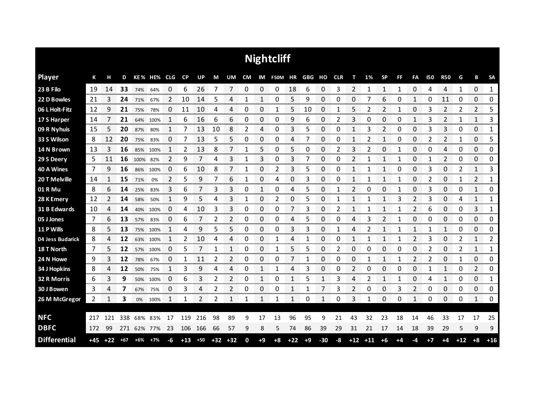|                     |       |       |       |      |             |          |       |               |       |       |    |              | <b>Nightcliff</b> |       |            |       |    |              |             |                |           |                |            |                |                |                  |              |
|---------------------|-------|-------|-------|------|-------------|----------|-------|---------------|-------|-------|----|--------------|-------------------|-------|------------|-------|----|--------------|-------------|----------------|-----------|----------------|------------|----------------|----------------|------------------|--------------|
| <b>Player</b>       | К     | н     | D     |      | KE% HE% CLG |          | CP    | UP            | M     | UM    | CM |              | IM F50M HR        |       | GBG HO CLR |       |    | т            | 1%          | <b>SP</b>      | <b>FF</b> | FA             | <b>I50</b> | <b>R50</b>     | G              | В                | <b>SA</b>    |
| 23 B Filo           | 19    | 14    | 33    | 74%  | 64%         | 0        | 6     | 26            | 7     | 7     | 0  | 0            | 0                 | 18    | 6          | 0     | 3  | 2            | 1           | 1              | 1         | 0              | 4          | 4              | 1              | 0                | 1            |
| 22 D Bowles         | 21    | 3     | 24    | 71%  | 67%         | 2        | 10    | 14            | 5     | 4     |    | 1            | 0                 | 5     | 9          | 0     | 0  | 0            |             | 6              | 0         | 1              | 0          | 11             | 0              | 0                | 0            |
| 06 L Holt-Fitz      | 12    | 9     | 21    | 75%  | 78%         | 0        | 11    | 10            | 4     | 4     | 0  | 0            | 1                 | 5     | 10         | 0     | 1  | 5            | 2           | $\overline{2}$ | 1         | 0              | 3          | $\overline{2}$ | 2              | $\overline{2}$   | 5            |
| 17 S Harper         | 14    | 7     | 21    | 64%  | 100%        | 1        | 6     | 16            | 6     | 6     | 0  | 0            | 0                 | 9     | 6          | 0     | 2  | 3            | 0           | 0              | 0         | 1              | 3          | 2              | 1              | 1                | 3            |
| 09 R Nyhuis         | 15    | 5     | 20    | 87%  | 80%         | 1        | 7     | 13            | 10    | 8     | 2  | 4            | 0                 | 3     | 5          | 0     | 0  | $\mathbf{1}$ | 3           | $\overline{2}$ | 0         | 0              | 3          | 3              | 0              | 0                | 1            |
| 33 S Wilson         | 8     | 12    | 20    | 75%  | 83%         | 0        | 7     | 13            | 5     | 5     | 0  | 0            | 0                 | 4     | 7          | 0     | 0  | 1            | 2           | 1              | 0         | 0              | 2          | 2              | 1              | 0                | 5            |
| 14 N Brown          | 13    | 3     | 16    | 85%  | 100%        | 1        | 2     | 13            | 8     | 7     | 1  | 5            | 0                 | 5     | 0          | 0     | 2  | 3            | 2           | 0              | 1         | 0              | 0          | 4              | 0              | 0                | 0            |
| 29 S Deery          | 5     | 11    | 16    | 100% | 82%         | 2        | 9     | 7             | 4     | 3     | 1  | 3            | 0                 | 3     |            | 0     | 0  | 2            |             | 1              | 1         | 0              | 1          | $\overline{2}$ | 0              | 0                | 0            |
| 40 A Wines          | 7     | 9     | 16    | 86%  | 100%        | 0        | 6     | 10            | 8     | 7     | 1  | 0            | 2                 | 3     | 5          | 0     | 0  | $\mathbf{1}$ | 1           | $\mathbf{1}$   | 0         | 0              | 3          | 0              | $\overline{2}$ | $\mathbf{1}$     | 3            |
| 20 T Melville       | 14    | 1     | 15    | 71%  | 0%          | 2        | 5     | 9             | 7     | 6     | 1  | 0            | 4                 | 0     | 3          | 0     | Ω  | 1            |             | 1              | 1         | 0              | 2          | 0              | 1              | 2                | 1            |
| 01 R Mu             | 8     | 6     | 14    | 25%  | 83%         | 3        | 6     |               | 3     | 3     | 0  | 1            | 0                 | 4     | 5          | 0     |    | 2            | 0           | 0              |           | 0              | 3          | 0              | 0              | 1                | 0            |
| 28 K Emery          | 12    |       | 14    | 58%  | 50%         | 1        | 9     | 5             | 4     | 3     | 1  | 0            | 2                 | 0     | 5          | 0     |    | 1            |             | 1              | 3         | 2              | 3          | 0              | 4              | 1                | 1            |
| 31 B Edwards        | 10    | 4     | 14    | 40%  | 100%        | 0        | 4     | 10            | 3     | 3     | 0  | 0            | 0                 |       | 3          | 0     | 2  | 1            | 1           | 1              | 1         | 2              | 6          | 0              | 0              | 3                | 1            |
| 05 J Jones          | 7     | 6     | 13    | 57%  | 83%         | O        | 6     |               | 2     | 2     | 0  | 0            | 0                 | 4     | 5          | 0     | Ω  | 4            | 3           | 2              |           | 0              | 0          | 0              | 0              | 0                | 0            |
| 11 P Wills          | 8     | 5     | 13    |      | 75% 100%    | 1        | 4     | 9             | 5     | 5     | 0  | 0            | 0                 | 3     | 3          | 0     |    | 4            | 2           |                | 1         | 1              | 1          | 1              | 0              | 0<br>ana ang pag | 0<br>www.com |
| 04 Jess Budarick    | 8     | 4     | 12    | 63%  | 100%        | 1        | 2     | 10            | 4     | 4     | 0  | 0            |                   | 4     |            | 0     | 0  | 1            |             |                |           | 2              | 3          | 0              | 2              | 1                | 2<br>nnnnn   |
| 18 T North          | 7     | 5     | 12    | 57%  | 100%        | $\Omega$ | 5     | 7             | 1     | 1     | 0  | 0            | 1                 | 5     | 5          | 0     | 2  | 0            | 0           | 0              | 0         | $\Omega$       | 2          | 0              | 2              | $\mathbf{1}$     | 1            |
| 24 N Howe           | 9     | 3     | 12    | 78%  | 67%         | 0        | 1     | 11            | 2     | 2     | 0  | 0            | 0                 |       |            | 0     | 0  | 0            | 1           | $\mathbf{1}$   |           | 2              |            | 0              | 1              | 0                | 0            |
| 34 J Hopkins        | 8     | 4     | 12    | 50%  | 75%         | 1        | 3     | 9             | 4     | 4     | 0  | $\mathbf{1}$ |                   | 4     | 3          | 0     | 0  | 2            | 0           | 0              | 0         | $\Omega$       |            | $\mathbf{1}$   | 0              | 2                | 0            |
| 32 R Morris         | 6     | 3     | 9     |      | 50% 100%    | 0        | 6     | 3             | 2     | 2     | 0  | 1            | 0                 | 1     | 5          | 1     | 3  | 4            | 2           | 1              |           | 0              | 4          | 1              | 0              | 0                | 1            |
| 30 J Bowen          | 3     | 4     | 7     | 67%  | 75%         | 0        | 3     | 4             | 2     | 2     | 0  | 0            | 0                 | 1     | 1          |       | 3  | 2            | 0           | 0              | 3         | $\overline{2}$ | 0          | 0              | 0              | 0                | 0            |
| 26 M McGregor       | 2     | 1     | 3     | 0%   | 100%        | 1        | 1     | $\mathcal{P}$ | 2     | 1     | 1  | 1            | 1                 | 1     | 0          | 1     | 0  | 3            | 1           | 0              | 0         | 1              | 0          | 0              | 0              | 1                | 0            |
|                     |       |       |       |      |             |          |       |               |       |       |    |              |                   |       |            |       |    |              |             |                |           |                |            |                |                |                  |              |
| <b>NFC</b>          | 217   | 121   | 338   | 68%  | 83%         | 17       | 119   | 216           | 98    | 89    | 9  | 17           | 13                | 96    | 95         | 9     | 21 | 43           | 32          | 23             | 18        | 14             | 46         | 33             | 17             | 17               | 25           |
| <b>DBFC</b>         | 172   | 99    | 271   |      | 62% 77%     | 23       | 106   | 166           | 66    | 57    | 9  | 8            | 5                 | 74    | 86         | 39    | 29 | 31           | 21          | 17             | 14        | 18             | 39         | 29             | 5              | 9                | 9            |
| <b>Differential</b> | $+45$ | $+22$ | $+67$ | +6%  | $+7%$       | -6       | $+13$ | $+50$         | $+32$ | $+32$ | 0  | $+9$         | $+8$              | $+22$ | $+9$       | $-30$ | -8 |              | $+12$ $+11$ | +6             | +4        | -4             | $+7$       | $+4$           | $+12$          | $+8$             | $+16$        |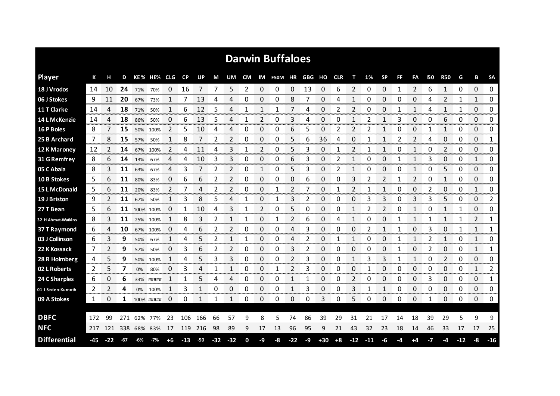|                      |                  |                         |          |                            |            |                         |                         |           |                 |                          |             |                        | <b>Darwin Buffaloes</b> |                      |                  |             |                                       |              |       |                |                                        |                   |            |              |               |               |                        |
|----------------------|------------------|-------------------------|----------|----------------------------|------------|-------------------------|-------------------------|-----------|-----------------|--------------------------|-------------|------------------------|-------------------------|----------------------|------------------|-------------|---------------------------------------|--------------|-------|----------------|----------------------------------------|-------------------|------------|--------------|---------------|---------------|------------------------|
| <b>Player</b>        | К                | н                       | D        |                            | KE% HE%    | <b>CLG</b>              | <b>CP</b>               | <b>UP</b> | М               | UM                       | <b>CM</b>   | IM                     | <b>F50M</b>             | ΗR                   | GBG              | но          | <b>CLR</b>                            | т            | 1%    | <b>SP</b>      | FF                                     | FA                | <b>150</b> | <b>R50</b>   | G             | В             | <b>SA</b>              |
| 18 J Vrodos          | 14               | 10                      | 24       | 71%                        | 70%        | 0                       | 16                      | 7         |                 | 5                        | 2           | 0                      | 0                       | 0                    | 13               | 0           | 6                                     | 2            | 0     | 0              | $\mathbf{1}$                           | 2                 | 6          | $\mathbf{1}$ | 0             | 0             | 0                      |
| 06 J Stokes          | 9                | 11                      | 20       | 67%                        | 73%        | 1                       |                         | 13        | 4               | 4                        | 0           | 0                      | 0                       | 8                    | 7                | 0           | 4                                     |              | 0     | 0              | 0                                      | 0                 | 4          | 2            | 1             | 1             | 0                      |
| 11 T Clarke          | 14               | 4                       | 18       | 71%                        | 50%        | 1                       | 6                       | 12        | 5               | 4                        | 1           | 1                      | 1                       | 7                    | 4                | 0           | 2                                     | 2            | ŋ     | 0              | $\mathbf{1}$                           | 1                 | 4          | 1            | 1             | 0             | 0                      |
| 14 L McKenzie        | 14               | 4                       | 18       | 86%                        | 50%        | 0                       | 6                       | 13        | 5               | 4                        | 1           | $\overline{2}$         | 0                       | 3                    | 4                | 0           | 0                                     | 1            | 2     | $\mathbf{1}$   | 3                                      | 0                 | 0          | 6            | 0             | 0             | 0                      |
| 16 P Boles           | 8                | 7                       | 15       | 50%                        | 100%       | 2                       | 5                       | 10        | 4               | 4                        | 0           | 0                      | 0                       | 6                    | 5                | 0           | 2                                     | 2            |       | 1              | 0                                      | 0                 |            | 1            | 0             | 0             | 0                      |
| 25 B Archard         | 7                | 8                       | 15       | 57%                        | 50%        | 1                       | 8                       |           | 2               | $\overline{2}$           | 0           | 0                      | 0                       | 5                    | 6                | 36          | 4                                     | 0            |       | 1              | 2                                      | 2                 | 4          | 0            | 0             | 0             | 1                      |
| 12 K Maroney         | -12              | 2                       | 14       | 67%                        | 100%       | 2                       | 4                       | 11        | 4               | 3                        | 1           | 2                      | 0                       | 5                    | 3                | 0           | 1                                     | 2            | 1     | 1              | 0                                      | 1                 | 0          | 2            | 0             | 0             | 0                      |
| 31 G Remfrey         | 8                | 6                       | 14       | 13%                        | 67%        | 4                       | 4                       | 10        | 3               | 3                        | 0           | 0                      | 0                       | 6                    | 3                | 0           | 2                                     | $\mathbf{1}$ | 0     | 0              | 1                                      | 1                 | 3          | 0            | 0             | 1             | 0                      |
| 05 C Abala           | 8                | 3                       | 11       | 63%                        | 67%        | 4                       | 3                       | 7         | 2               | $\overline{\phantom{a}}$ | 0           | 1                      | 0                       | 5                    | 3                | 0           | 2                                     |              | 0     | 0              | 0                                      | 1                 | 0          | 5            | 0             | 0             | 0                      |
| 10 B Stokes          | 5                | 6                       | 11       | 80%                        | 83%        | 0                       | 6                       | 6         | 2               | 2                        | 0           | 0                      | 0                       | 0                    | 6                | 0           | 0                                     | 3            | 2     | 2              |                                        | 2                 | 0          | $\mathbf{1}$ | 0             | 0             | 0                      |
| <b>15 L McDonald</b> | 5                | 6                       | 11       | 20%                        | 83%        | 2                       |                         | 4         | 2               | 2                        | 0           | 0                      | 1                       | 2                    | 7                | 0           | 1                                     | 2            |       | 1              | 0                                      | 0                 | 2          | 0            | 0             | $\mathbf{1}$  | 0                      |
| 19 J Briston         | 9                | $\overline{2}$          | 11       | 67%                        | 50%        | $\mathbf{1}$            | 3                       | 8         | 5               | 4                        | 1           | 0                      | 1                       | 3                    | 2                | 0           | 0                                     | 0            | 3     | 3              | 0                                      | 3                 | 3          | 5            | 0             | 0             | 2                      |
| 27 T Bean            | 5                | 6                       | 11       | 100% 100%                  |            | 0                       | 1                       | 10        | 4               | 3                        | $\mathbf 1$ | 2                      | 0                       | 5                    | 0                | $\Omega$    | 0                                     | $\mathbf{1}$ | 2     | $\overline{2}$ | $\Omega$                               | $\mathbf{1}$      | 0          | $\mathbf{1}$ | 1             | 0             | 0                      |
| 32 H Ahmat-Watkins   | 8                | 3.<br><b>CONTRACTOR</b> | 11       |                            | 25% 100%   | 1<br><u>നാനാവാസനാനാ</u> | 8                       | 3         | 2               | -1                       | 1           | 0                      | 1                       | $\overline{2}$       | 6<br>anana.      | 0<br>onomor | 4                                     | 1            | 0     | 0              |                                        | $\mathbf{1}$      |            | $\mathbf{1}$ |               | 2<br>manan m  | 1                      |
| 37 T Raymond         | 6<br>ana amin'ny | 4<br>anana mara         | 10       | 67%<br>------------------- | 100%       | O                       | 4                       | 6         | 2<br>an an an a | 2                        | 0           | 0                      | 0                       | 4<br>ana ana amin'ny | 3<br>ana ana ana | 0           | 0<br>ana amin'ny fivondronan-kaominin | O<br>www.com |       | 1              | 1<br>,,,,,,,,,,,,,,,,,,,,,,,,,,,,,,,,, | 0                 | 3          | 0            | 1             | 1             | 1                      |
| 03 J Collinson       | 6                | 3<br>vooro              | 9<br>mmm | 50%                        | 67%        | -------------------     | Δ<br><b>DESCRIPTION</b> | 5         |                 |                          | mmmm        | 0<br><b>CONTRACTOR</b> | 0<br>manan a            | 4<br><b>COOPER</b>   | 2<br>annon 1     | 0<br>ananan |                                       | manan m      | 0     | 0<br>-----     |                                        | 1<br><b>STORY</b> |            | 1<br>ananan' | 0<br>-------- | 1<br>ananana. | 0<br>omonomo           |
| 22 K Kossack         | 7                | 2                       | 9        | 57%                        | 50%        | 0                       | 3                       | 6         | 2               | 2                        | 0           | 0                      | 0                       | 3                    | 2                | 0           | 0                                     | 0            | 0     | 0              | 1                                      | 0                 | 2          | 0            | 0             | 1             | 1<br><b>STATISTICS</b> |
| 28 R Holmberg        | 4                | 5.                      | 9        | 50%                        | 100%       | 1                       | 4                       |           | 3               | 3                        | 0           | 0                      | 0                       | 2                    | 3                | 0           | 0                                     | 1            | 3     | 3              |                                        | 1                 | 0          | 2            | 0             | 0             | 0                      |
| 02 L Roberts         | 2                | 5                       | 7        | 0%                         | 80%        | 0                       | 3                       | 4         | 1               | $\mathbf 1$              | 0           | $\mathbf 0$            | 1                       | $\overline{2}$       | 3                | 0           | 0                                     | 0            | 1     | 0              | 0                                      | 0                 | 0          | 0            | 0             | 1             | $\overline{2}$         |
| 24 C Sharples        | 6                | 0                       | 6        |                            | 33% #####  | 1                       | 1                       | 5         | 4               | Δ                        | 0           | 0                      | 0                       | 1                    | 1                | 0           | 0                                     | 2            | 0     | 0              | 0                                      | 0                 | 3          | 0            | 0             | 0             | 1<br>mmmm              |
| 01 I Seden-Kumoth    | 2                | 2                       | 4        | 0%                         | 100%       | 1                       | 3                       | 1         | 0               | 0                        | 0           | 0                      | 0                       | 1                    | 3                | 0           | 0                                     | 3            | 1     | 1              | 0                                      | 0                 | 0          | 0            | 0             | 0             | 0                      |
| 09 A Stokes          | 1                | 0                       | 1        |                            | 100% ##### | 0                       | 0                       |           | 1               | 1                        | 0           | 0                      | 0                       | 0                    | 0                | 3           | 0                                     | 5            | O     | 0              | 0                                      | 0                 | 1          | 0            | O             | 0             | 0                      |
|                      |                  |                         |          |                            |            |                         |                         |           |                 |                          |             |                        |                         |                      |                  |             |                                       |              |       |                |                                        |                   |            |              |               |               |                        |
| <b>DBFC</b>          | 172              | 99                      | 271      |                            | 62% 77%    | 23                      | 106                     | 166       | 66              | 57                       | ٩           | 8                      | 5                       | 74                   | 86               | 39          | 29                                    | 31           | 21    | 17             | 14                                     | 18                | 39         | 29           | 5             | 9             | 9                      |
| <b>NFC</b>           | 217              |                         | 121 338  |                            | 68% 83%    | 17                      | 119                     | 216       | 98              | 89                       | 9           | 17                     | 13                      | 96                   | 95               | 9           | 21                                    | 43           | 32    | 23             | 18                                     | 14                | 46         | 33           | 17            | 17            | 25                     |
| <b>Differential</b>  | -45              | $-22$                   | $-67$    | $-6%$                      | $-7%$      | $+6$                    | $-13$                   | $-50$     | $-32$           | $-32$                    | $\bf{0}$    | -9                     | -8                      | $-22$                | $-9$             | $+30$       | $+8$                                  | $-12$        | $-11$ | -6             | -4                                     | +4                | -7         | -4           | $-12$         | -8            | $-16$                  |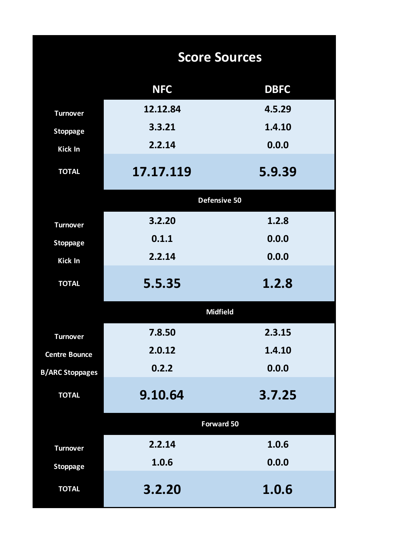|                        | <b>Score Sources</b> |             |
|------------------------|----------------------|-------------|
|                        | <b>NFC</b>           | <b>DBFC</b> |
| <b>Turnover</b>        | 12.12.84             | 4.5.29      |
| <b>Stoppage</b>        | 3.3.21               | 1.4.10      |
| <b>Kick In</b>         | 2.2.14               | 0.0.0       |
| <b>TOTAL</b>           | 17.17.119            | 5.9.39      |
|                        | Defensive 50         |             |
| <b>Turnover</b>        | 3.2.20               | 1.2.8       |
| <b>Stoppage</b>        | 0.1.1                | 0.0.0       |
| <b>Kick In</b>         | 2.2.14               | 0.0.0       |
| <b>TOTAL</b>           | 5.5.35               | 1.2.8       |
|                        | <b>Midfield</b>      |             |
| <b>Turnover</b>        | 7.8.50               | 2.3.15      |
| <b>Centre Bounce</b>   | 2.0.12               | 1.4.10      |
| <b>B/ARC Stoppages</b> | 0.2.2                | 0.0.0       |
| <b>TOTAL</b>           | 9.10.64              | 3.7.25      |
|                        | <b>Forward 50</b>    |             |
| <b>Turnover</b>        | 2.2.14               | 1.0.6       |
| <b>Stoppage</b>        | 1.0.6                | 0.0.0       |
| <b>TOTAL</b>           | 3.2.20               | 1.0.6       |